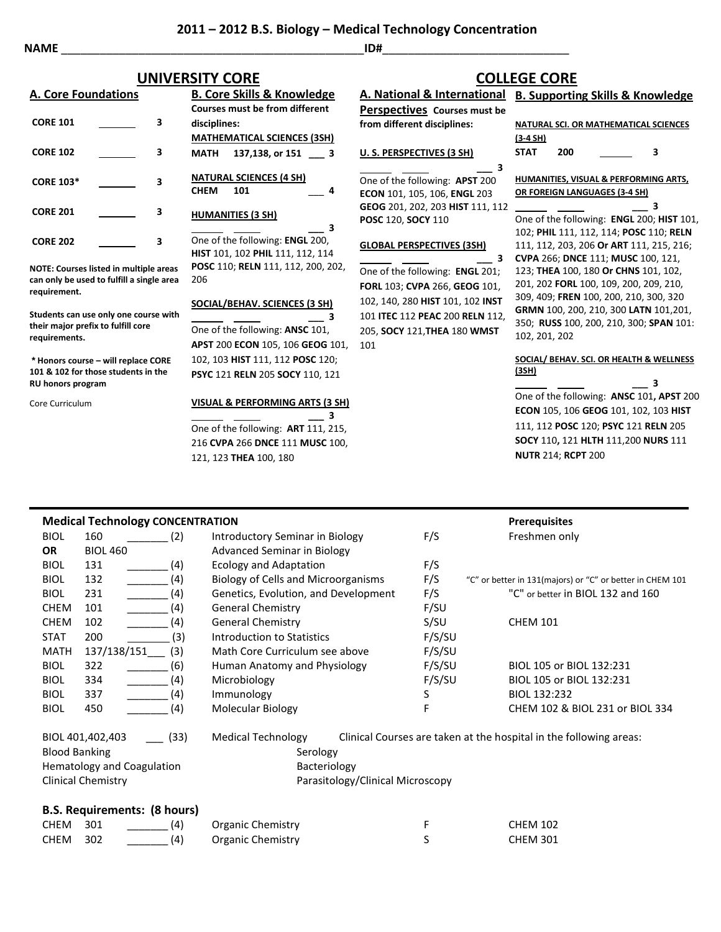**2011 – 2012 B.S. Biology – Medical Technology Concentration**

**NAME** \_\_\_\_\_\_\_\_\_\_\_\_\_\_\_\_\_\_\_\_\_\_\_\_\_\_\_\_\_\_\_\_\_\_\_\_\_\_\_\_\_\_\_\_\_\_\_**ID#**\_\_\_\_\_\_\_\_\_\_\_\_\_\_\_\_\_\_\_\_\_\_\_\_\_\_\_\_\_

| <b>A. Core Foundations</b> |                                               | <b>B. Core Skills &amp; Knowledge</b> |                   |  |
|----------------------------|-----------------------------------------------|---------------------------------------|-------------------|--|
|                            |                                               | <b>Courses must be from different</b> |                   |  |
| <b>CORE 101</b>            | 3                                             | disciplines:                          |                   |  |
|                            |                                               | <b>MATHEMATICAL SCIENCES (3SH)</b>    |                   |  |
| <b>CORE 102</b>            | 3                                             | MATH                                  | 137,138, or 151 3 |  |
| <b>CORE 103*</b>           | 3                                             | <b>NATURAL SCIENCES (4 SH)</b>        |                   |  |
|                            |                                               | <b>CHEM</b><br>101                    | 4                 |  |
| <b>CORE 201</b>            | 3                                             | <b>HUMANITIES (3 SH)</b>              |                   |  |
|                            |                                               |                                       | 3                 |  |
| <b>CORE 202</b>            | 3                                             | One of the following: ENGL 200,       |                   |  |
|                            |                                               | HIST 101, 102 PHIL 111, 112, 114      |                   |  |
|                            | <b>NOTE: Courses listed in multiple areas</b> | POSC 110; RELN 111, 112, 200, 20      |                   |  |

**NOTE: Courses listed in multiple areas can only be used to fulfill a single area requirement.**

**Students can use only one course with their major prefix to fulfill core requirements.**

**\* Honors course – will replace CORE 101 & 102 for those students in the RU honors program**

Core Curriculum

**HUMANITIES (3 SH) \_\_\_ 3** ving: **ENGL** 200, **HIST** 101, 102 **PHIL** 111, 112, 114 **POSC** 110; **RELN** 111, 112, 200, 202, 206 **SOCIAL/BEHAV. SCIENCES (3 SH) \_\_\_ 3**

One of the following: **ANSC** 101, **APST** 200 **ECON** 105, 106 **GEOG** 101, 102, 103 **HIST** 111, 112 **POSC** 120; **PSYC** 121 **RELN** 205 **SOCY** 110, 121

#### **VISUAL & PERFORMING ARTS (3 SH)**

 **\_\_\_ 3** One of the following: **ART** 111, 215, 216 **CVPA** 266 **DNCE** 111 **MUSC** 100, 121, 123 **THEA** 100, 180

## **A. National & International B. Supporting Skills & Knowledge UNIVERSITY CORE COLLEGE CORE**

**Perspectives Courses must be from different disciplines:**

### **U. S. PERSPECTIVES (3 SH)**

 **\_\_\_ 3** One of the following: **APST** 200 **ECON** 101, 105, 106, **ENGL** 203 **GEOG** 201, 202, 203 **HIST** 111, 112 **POSC** 120, **SOCY** 110

#### **GLOBAL PERSPECTIVES (3SH)**

 **\_\_\_ 3** One of the following: **ENGL** 201; **FORL** 103; **CVPA** 266, **GEOG** 101, 102, 140, 280 **HIST** 101, 102 **INST** 101 **ITEC** 112 **PEAC** 200 **RELN** 112, 205, **SOCY** 121,**THEA** 180 **WMST** 101

| NATURAL SCI. OR MATHEMATICAL SCIENCES |     |  |  |   |  |
|---------------------------------------|-----|--|--|---|--|
| $(3-4 SH)$                            |     |  |  |   |  |
| <b>STAT</b>                           | 200 |  |  | з |  |

**HUMANITIES, VISUAL & PERFORMING ARTS, OR FOREIGN LANGUAGES (3-4 SH)**

 **\_\_\_ 3** One of the following: **ENGL** 200; **HIST** 101, 102; **PHIL** 111, 112, 114; **POSC** 110; **RELN**  111, 112, 203, 206 **Or ART** 111, 215, 216; **CVPA** 266; **DNCE** 111; **MUSC** 100, 121, 123; **THEA** 100, 180 **Or CHNS** 101, 102, 201, 202 **FORL** 100, 109, 200, 209, 210, 309, 409; **FREN** 100, 200, 210, 300, 320 **GRMN** 100, 200, 210, 300 **LATN** 101,201, 350; **RUSS** 100, 200, 210, 300; **SPAN** 101: 102, 201, 202

#### **SOCIAL/ BEHAV. SCI. OR HEALTH & WELLNESS (3SH)**

 **\_\_\_ 3** One of the following: **ANSC** 101**, APST** 200 **ECON** 105, 106 **GEOG** 101, 102, 103 **HIST** 111, 112 **POSC** 120; **PSYC** 121 **RELN** 205 **SOCY** 110**,** 121 **HLTH** 111,200 **NURS** 111 **NUTR** 214; **RCPT** 200

|                                                                                                                                                                                                          | <b>Medical Technology CONCENTRATION</b> |                                            |        | <b>Prerequisites</b>                                               |
|----------------------------------------------------------------------------------------------------------------------------------------------------------------------------------------------------------|-----------------------------------------|--------------------------------------------|--------|--------------------------------------------------------------------|
| <b>BIOL</b>                                                                                                                                                                                              | 160<br>(2)                              | Introductory Seminar in Biology            | F/S    | Freshmen only                                                      |
| <b>OR</b>                                                                                                                                                                                                | <b>BIOL 460</b>                         | <b>Advanced Seminar in Biology</b>         |        |                                                                    |
| <b>BIOL</b>                                                                                                                                                                                              | 131<br>(4)                              | <b>Ecology and Adaptation</b>              | F/S    |                                                                    |
| <b>BIOL</b>                                                                                                                                                                                              | (4)<br>132                              | <b>Biology of Cells and Microorganisms</b> | F/S    | "C" or better in 131(majors) or "C" or better in CHEM 101          |
| <b>BIOL</b>                                                                                                                                                                                              | (4)<br>231                              | Genetics, Evolution, and Development       | F/S    | "C" or better in BIOL 132 and 160                                  |
| <b>CHEM</b>                                                                                                                                                                                              | (4)<br>101                              | <b>General Chemistry</b>                   | F/SU   |                                                                    |
| <b>CHEM</b>                                                                                                                                                                                              | 102<br>(4)                              | <b>General Chemistry</b>                   | S/SU   | <b>CHEM 101</b>                                                    |
| <b>STAT</b>                                                                                                                                                                                              | 200<br>(3)                              | <b>Introduction to Statistics</b>          | F/S/SU |                                                                    |
| <b>MATH</b>                                                                                                                                                                                              | 137/138/151<br>(3)                      | Math Core Curriculum see above             | F/S/SU |                                                                    |
| <b>BIOL</b>                                                                                                                                                                                              | 322<br>(6)                              | Human Anatomy and Physiology               | F/S/SU | BIOL 105 or BIOL 132:231                                           |
| <b>BIOL</b>                                                                                                                                                                                              | (4)<br>334                              | Microbiology                               | F/S/SU | BIOL 105 or BIOL 132:231                                           |
| <b>BIOL</b>                                                                                                                                                                                              | 337<br>(4)                              | Immunology                                 | S      | BIOL 132:232                                                       |
| <b>BIOL</b>                                                                                                                                                                                              | (4)<br>450                              | Molecular Biology                          | F      | CHEM 102 & BIOL 231 or BIOL 334                                    |
| <b>Medical Technology</b><br>BIOL 401,402,403<br>(33)<br><b>Blood Banking</b><br>Serology<br>Hematology and Coagulation<br>Bacteriology<br><b>Clinical Chemistry</b><br>Parasitology/Clinical Microscopy |                                         |                                            |        | Clinical Courses are taken at the hospital in the following areas: |
|                                                                                                                                                                                                          | <b>B.S. Requirements: (8 hours)</b>     |                                            |        |                                                                    |

## CHEM 301 (4) Organic Chemistry F F CHEM 102 CHEM 302 \_\_\_\_\_\_\_ (4) Organic Chemistry S CHEM 301